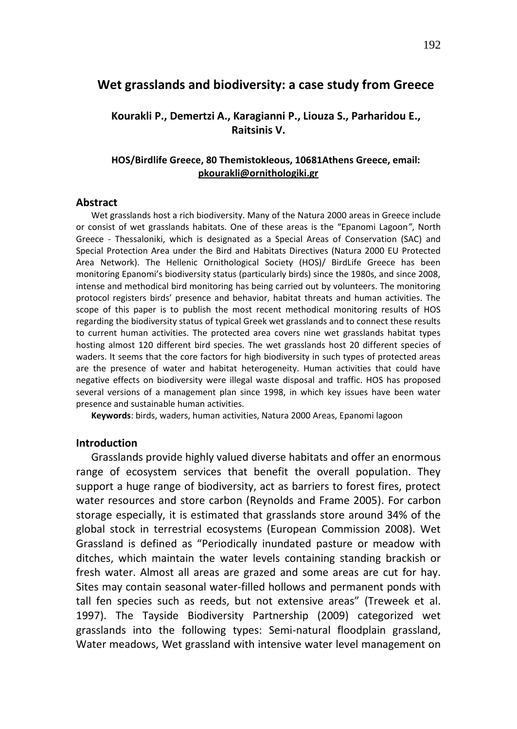# **Wet grasslands and biodiversity: a case study from Greece**

# **Kourakli P., Demertzi A., Karagianni P., Liouza S., Parharidou E., Raitsinis V.**

# **HOS/Birdlife Greece, 80 Themistokleous, 10681Athens Greece, email: [pkourakli@ornithologiki.gr](mailto:pkourakli@ornithologiki.gr)**

#### **Abstract**

Wet grasslands host a rich biodiversity. Μany of the Natura 2000 areas in Greece include or consist of wet grasslands habitats. One of these areas is the "Epanomi Lagoon*"*, North Greece - Thessaloniki, which is designated as a Special Areas of Conservation (SAC) and Special Protection Area under the Bird and Habitats Directives (Natura 2000 EU Protected Area Network). The Hellenic Ornithological Society (HOS)/ BirdLife Greece has been monitoring Epanomi's biodiversity status (particularly birds) since the 1980s, and since 2008, intense and methodical bird monitoring has being carried out by volunteers. The monitoring protocol registers birds' presence and behavior, habitat threats and human activities. The scope of this paper is to publish the most recent methodical monitoring results of HOS regarding the biodiversity status of typical Greek wet grasslands and to connect these results to current human activities. The protected area covers nine wet grasslands habitat types hosting almost 120 different bird species. The wet grasslands host 20 different species of waders. It seems that the core factors for high biodiversity in such types of protected areas are the presence of water and habitat heterogeneity. Human activities that could have negative effects on biodiversity were illegal waste disposal and traffic. HOS has proposed several versions of a management plan since 1998, in which key issues have been water presence and sustainable human activities.

**Keywords**: birds, waders, human activities, Natura 2000 Areas, Epanomi lagoon

#### **Introduction**

Grasslands provide highly valued diverse habitats and offer an enormous range of ecosystem services that benefit the overall population. They support a huge range of biodiversity, act as barriers to forest fires, protect water resources and store carbon (Reynolds and Frame 2005). For carbon storage especially, it is estimated that grasslands store around 34% of the global stock in terrestrial ecosystems (European Commission 2008). Wet Grassland is defined as "Periodically inundated pasture or meadow with ditches, which maintain the water levels containing standing brackish or fresh water. Almost all areas are grazed and some areas are cut for hay. Sites may contain seasonal water-filled hollows and permanent ponds with tall fen species such as reeds, but not extensive areas" (Treweek et al. 1997). The Tayside Biodiversity Partnership (2009) categorized wet grasslands into the following types: Semi-natural floodplain grassland, Water meadows, Wet grassland with intensive water level management on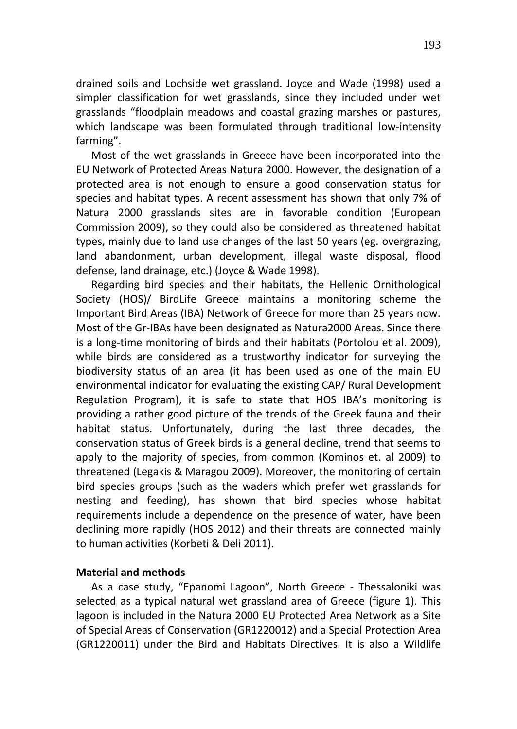drained soils and Lochside wet grassland. Joyce and Wade (1998) used a simpler classification for wet grasslands, since they included under wet grasslands "floodplain meadows and coastal grazing marshes or pastures, which landscape was been formulated through traditional low-intensity farming".

Most of the wet grasslands in Greece have been incorporated into the EU Network of Protected Areas Natura 2000. However, the designation of a protected area is not enough to ensure a good conservation status for species and habitat types. A recent assessment has shown that only 7% of Natura 2000 grasslands sites are in favorable condition (European Commission 2009), so they could also be considered as threatened habitat types, mainly due to land use changes of the last 50 years (eg. overgrazing, land abandonment, urban development, illegal waste disposal, flood defense, land drainage, etc.) (Joyce & Wade 1998).

Regarding bird species and their habitats, the Hellenic Ornithological Society (HOS)/ BirdLife Greece maintains a monitoring scheme the Important Bird Areas (IBA) Network of Greece for more than 25 years now. Most of the Gr-IBAs have been designated as Natura2000 Areas. Since there is a long-time monitoring of birds and their habitats (Portolou et al. 2009), while birds are considered as a trustworthy indicator for surveying the biodiversity status of an area (it has been used as one of the main EU environmental indicator for evaluating the existing CAP/ Rural Development Regulation Program), it is safe to state that HOS IBA's monitoring is providing a rather good picture of the trends of the Greek fauna and their habitat status. Unfortunately, during the last three decades, the conservation status of Greek birds is a general decline, trend that seems to apply to the majority of species, from common (Kominos et. al 2009) to threatened (Legakis & Maragou 2009). Moreover, the monitoring of certain bird species groups (such as the waders which prefer wet grasslands for nesting and feeding), has shown that bird species whose habitat requirements include a dependence on the presence of water, have been declining more rapidly (HOS 2012) and their threats are connected mainly to human activities (Korbeti & Deli 2011).

## **Material and methods**

As a case study, "Epanomi Lagoon", North Greece - Thessaloniki was selected as a typical natural wet grassland area of Greece (figure 1). This lagoon is included in the Natura 2000 EU Protected Area Network as a Site of Special Areas of Conservation (GR1220012) and a Special Protection Area (GR1220011) under the Bird and Habitats Directives. It is also a Wildlife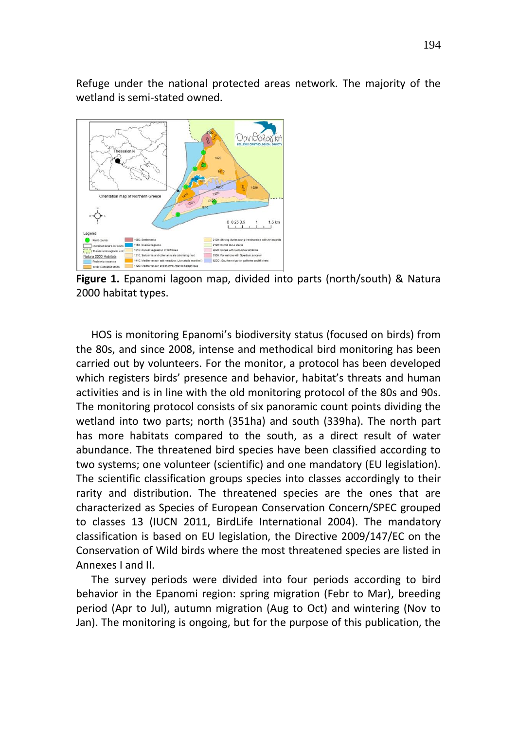Refuge under the national protected areas network. The majority of the wetland is semi-stated owned.



**Figure 1.** Epanomi lagoon map, divided into parts (north/south) & Natura 2000 habitat types.

HOS is monitoring Epanomi's biodiversity status (focused on birds) from the 80s, and since 2008, intense and methodical bird monitoring has been carried out by volunteers. For the monitor, a protocol has been developed which registers birds' presence and behavior, habitat's threats and human activities and is in line with the old monitoring protocol of the 80s and 90s. The monitoring protocol consists of six panoramic count points dividing the wetland into two parts; north (351ha) and south (339ha). The north part has more habitats compared to the south, as a direct result of water abundance. The threatened bird species have been classified according to two systems; one volunteer (scientific) and one mandatory (EU legislation). The scientific classification groups species into classes accordingly to their rarity and distribution. The threatened species are the ones that are characterized as Species of European Conservation Concern/SPEC grouped to classes 13 (IUCN 2011, BirdLife International 2004). The mandatory classification is based on EU legislation, the Directive 2009/147/EC on the Conservation of Wild birds where the most threatened species are listed in Annexes I and II.

The survey periods were divided into four periods according to bird behavior in the Epanomi region: spring migration (Febr to Mar), breeding period (Apr to Jul), autumn migration (Aug to Oct) and wintering (Nov to Jan). The monitoring is ongoing, but for the purpose of this publication, the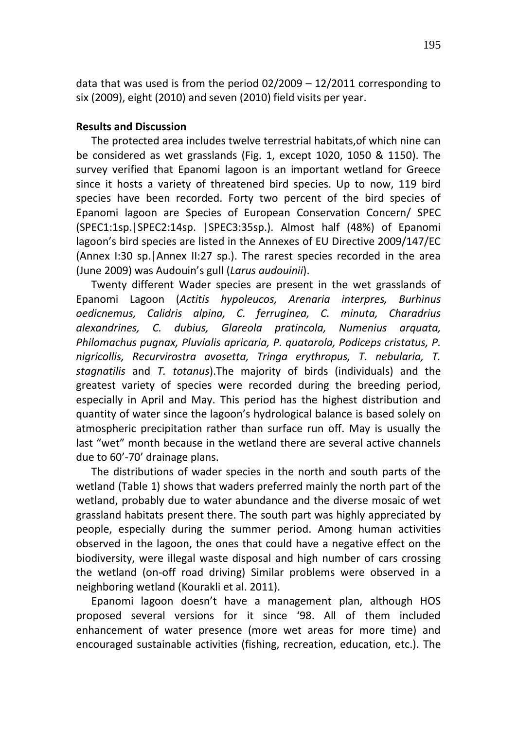data that was used is from the period 02/2009 – 12/2011 corresponding to six (2009), eight (2010) and seven (2010) field visits per year.

## **Results and Discussion**

The protected area includes twelve terrestrial habitats,of which nine can be considered as wet grasslands (Fig. 1, except 1020, 1050 & 1150). The survey verified that Epanomi lagoon is an important wetland for Greece since it hosts a variety of threatened bird species. Up to now, 119 bird species have been recorded. Forty two percent of the bird species of Epanomi lagoon are Species of European Conservation Concern/ SPEC (SPEC1:1sp.|SPEC2:14sp. |SPEC3:35sp.). Almost half (48%) of Epanomi lagoon's bird species are listed in the Annexes of EU Directive 2009/147/EC (Annex I:30 sp.|Annex II:27 sp.). The rarest species recorded in the area (June 2009) was Audouin's gull (*Larus audouinii*).

Twenty different Wader species are present in the wet grasslands of Epanomi Lagoon (*Actitis hypoleucos, Arenaria interpres, Burhinus oedicnemus, Calidris alpina, C. ferruginea, C. minuta, Charadrius alexandrines, C. dubius, Glareola pratincola, Numenius arquata, Philomachus pugnax, Pluvialis apricaria, P. quatarola, Podiceps cristatus, P. nigricollis, Recurvirostra avosetta, Tringa erythropus, T. nebularia, T. stagnatilis* and *T. totanus*).The majority of birds (individuals) and the greatest variety of species were recorded during the breeding period, especially in April and May. This period has the highest distribution and quantity of water since the lagoon's hydrological balance is based solely on atmospheric precipitation rather than surface run off. May is usually the last "wet" month because in the wetland there are several active channels due to 60'-70' drainage plans.

The distributions of wader species in the north and south parts of the wetland (Table 1) shows that waders preferred mainly the north part of the wetland, probably due to water abundance and the diverse mosaic of wet grassland habitats present there. The south part was highly appreciated by people, especially during the summer period. Among human activities observed in the lagoon, the ones that could have a negative effect on the biodiversity, were illegal waste disposal and high number of cars crossing the wetland (on-off road driving) Similar problems were observed in a neighboring wetland (Kourakli et al. 2011).

Epanomi lagoon doesn't have a management plan, although HOS proposed several versions for it since '98. All of them included enhancement of water presence (more wet areas for more time) and encouraged sustainable activities (fishing, recreation, education, etc.). Τhe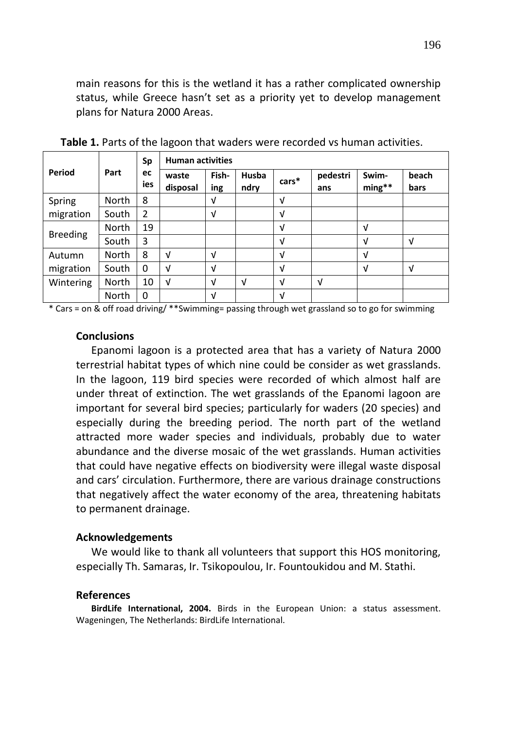main reasons for this is the wetland it has a rather complicated ownership status, while Greece hasn't set as a priority yet to develop management plans for Natura 2000 Areas.

|                 | Part         | Sp<br>ec<br>ies | <b>Human activities</b> |              |               |            |                 |                   |               |
|-----------------|--------------|-----------------|-------------------------|--------------|---------------|------------|-----------------|-------------------|---------------|
| Period          |              |                 | waste<br>disposal       | Fish-<br>ing | Husba<br>ndry | $cars*$    | pedestri<br>ans | Swim-<br>$ming**$ | beach<br>bars |
| Spring          | <b>North</b> | 8               |                         | V            |               | V          |                 |                   |               |
| migration       | South        | 2               |                         | V            |               | $\sqrt{ }$ |                 |                   |               |
| <b>Breeding</b> | North        | 19              |                         |              |               | V          |                 | $\sqrt{ }$        |               |
|                 | South        | 3               |                         |              |               | V          |                 | V                 | V             |
| Autumn          | North        | 8               | ν                       | V            |               | $\sqrt{ }$ |                 | $\sqrt{ }$        |               |
| migration       | South        | 0               | ν                       | V            |               | V          |                 | $\sqrt{ }$        | V             |
| Wintering       | North        | 10              | V                       | V            | V             | $\sqrt{ }$ | V               |                   |               |
|                 | North        | $\Omega$        |                         | V            |               | V          |                 |                   |               |

**Table 1.** Parts of the lagoon that waders were recorded vs human activities.

\* Cars = on & off road driving/ \*\*Swimming= passing through wet grassland so to go for swimming

#### **Conclusions**

Epanomi lagoon is a protected area that has a variety of Natura 2000 terrestrial habitat types of which nine could be consider as wet grasslands. In the lagoon, 119 bird species were recorded of which almost half are under threat of extinction. The wet grasslands of the Epanomi lagoon are important for several bird species; particularly for waders (20 species) and especially during the breeding period. The north part of the wetland attracted more wader species and individuals, probably due to water abundance and the diverse mosaic of the wet grasslands. Human activities that could have negative effects on biodiversity were illegal waste disposal and cars' circulation. Furthermore, there are various drainage constructions that negatively affect the water economy of the area, threatening habitats to permanent drainage.

## **Acknowledgements**

We would like to thank all volunteers that support this HOS monitoring, especially Th. Samaras, Ir. Tsikopoulou, Ir. Fountoukidou and M. Stathi.

#### **References**

**BirdLife International, 2004.** Birds in the European Union: a status assessment. Wageningen, The Netherlands: BirdLife International.